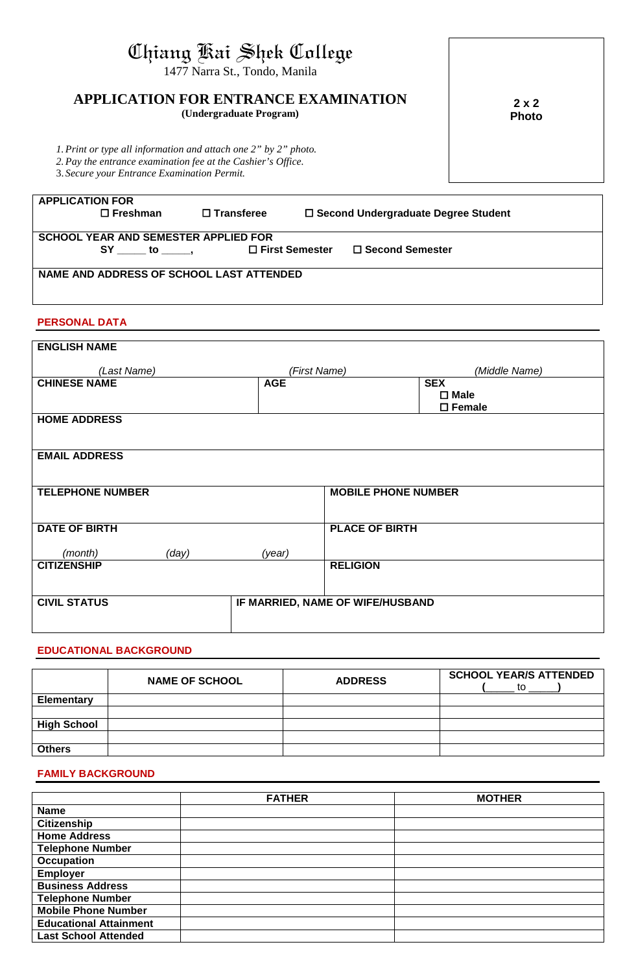# Chiang Kai Shek College

1477 Narra St., Tondo, Manila

# **APPLICATION FOR ENTRANCE EXAMINATION**

**(Undergraduate Program)**

**2 x 2 Photo**

*1.Print or type all information and attach one 2" by 2" photo.*

*2.Pay the entrance examination fee at the Cashier's Office.*

3. *Secure your Entrance Examination Permit.*

| stoccare your Entrance Examination Fernin.  |                   |                  |                                       |  |
|---------------------------------------------|-------------------|------------------|---------------------------------------|--|
|                                             |                   |                  |                                       |  |
| <b>APPLICATION FOR</b>                      |                   |                  |                                       |  |
| $\square$ Freshman                          | $\Box$ Transferee |                  | □ Second Undergraduate Degree Student |  |
|                                             |                   |                  |                                       |  |
| <b>SCHOOL YEAR AND SEMESTER APPLIED FOR</b> |                   |                  |                                       |  |
| SY to,                                      |                   | □ First Semester | $\Box$ Second Semester                |  |
|                                             |                   |                  |                                       |  |
| NAME AND ADDRESS OF SCHOOL LAST ATTENDED    |                   |                  |                                       |  |
|                                             |                   |                  |                                       |  |
|                                             |                   |                  |                                       |  |

### **PERSONAL DATA**

| <b>ENGLISH NAME</b>     |       |            |                                  |                  |
|-------------------------|-------|------------|----------------------------------|------------------|
|                         |       |            |                                  |                  |
| (Last Name)             |       |            | (First Name)                     | (Middle Name)    |
| <b>CHINESE NAME</b>     |       | <b>AGE</b> |                                  | <b>SEX</b>       |
|                         |       |            |                                  | $\square$ Male   |
|                         |       |            |                                  | $\square$ Female |
| <b>HOME ADDRESS</b>     |       |            |                                  |                  |
|                         |       |            |                                  |                  |
|                         |       |            |                                  |                  |
| <b>EMAIL ADDRESS</b>    |       |            |                                  |                  |
|                         |       |            |                                  |                  |
|                         |       |            |                                  |                  |
| <b>TELEPHONE NUMBER</b> |       |            | <b>MOBILE PHONE NUMBER</b>       |                  |
|                         |       |            |                                  |                  |
|                         |       |            |                                  |                  |
| <b>DATE OF BIRTH</b>    |       |            | <b>PLACE OF BIRTH</b>            |                  |
|                         |       |            |                                  |                  |
| (month)                 | (day) | (year)     |                                  |                  |
| <b>CITIZENSHIP</b>      |       |            | <b>RELIGION</b>                  |                  |
|                         |       |            |                                  |                  |
| <b>CIVIL STATUS</b>     |       |            | IF MARRIED, NAME OF WIFE/HUSBAND |                  |
|                         |       |            |                                  |                  |
|                         |       |            |                                  |                  |
|                         |       |            |                                  |                  |

#### **EDUCATIONAL BACKGROUND**

|                    | <b>NAME OF SCHOOL</b> | <b>ADDRESS</b> | <b>SCHOOL YEAR/S ATTENDED</b><br>to |
|--------------------|-----------------------|----------------|-------------------------------------|
| <b>Elementary</b>  |                       |                |                                     |
|                    |                       |                |                                     |
| <b>High School</b> |                       |                |                                     |
|                    |                       |                |                                     |
| <b>Others</b>      |                       |                |                                     |

#### **FAMILY BACKGROUND**

|                               | <b>FATHER</b> | <b>MOTHER</b> |
|-------------------------------|---------------|---------------|
| <b>Name</b>                   |               |               |
| <b>Citizenship</b>            |               |               |
| <b>Home Address</b>           |               |               |
| <b>Telephone Number</b>       |               |               |
| <b>Occupation</b>             |               |               |
| <b>Employer</b>               |               |               |
| <b>Business Address</b>       |               |               |
| <b>Telephone Number</b>       |               |               |
| <b>Mobile Phone Number</b>    |               |               |
| <b>Educational Attainment</b> |               |               |
| <b>Last School Attended</b>   |               |               |